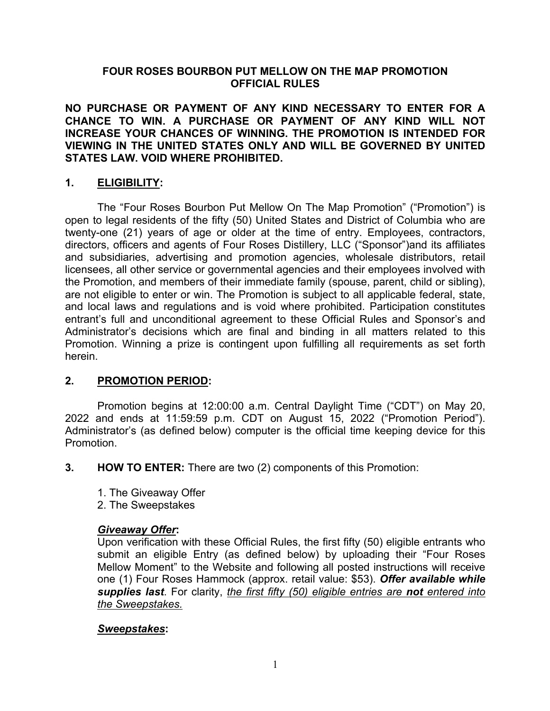### **FOUR ROSES BOURBON PUT MELLOW ON THE MAP PROMOTION OFFICIAL RULES**

**NO PURCHASE OR PAYMENT OF ANY KIND NECESSARY TO ENTER FOR A CHANCE TO WIN. A PURCHASE OR PAYMENT OF ANY KIND WILL NOT INCREASE YOUR CHANCES OF WINNING. THE PROMOTION IS INTENDED FOR VIEWING IN THE UNITED STATES ONLY AND WILL BE GOVERNED BY UNITED STATES LAW. VOID WHERE PROHIBITED.** 

# **1. ELIGIBILITY:**

The "Four Roses Bourbon Put Mellow On The Map Promotion" ("Promotion") is open to legal residents of the fifty (50) United States and District of Columbia who are twenty-one (21) years of age or older at the time of entry. Employees, contractors, directors, officers and agents of Four Roses Distillery, LLC ("Sponsor")and its affiliates and subsidiaries, advertising and promotion agencies, wholesale distributors, retail licensees, all other service or governmental agencies and their employees involved with the Promotion, and members of their immediate family (spouse, parent, child or sibling), are not eligible to enter or win. The Promotion is subject to all applicable federal, state, and local laws and regulations and is void where prohibited. Participation constitutes entrant's full and unconditional agreement to these Official Rules and Sponsor's and Administrator's decisions which are final and binding in all matters related to this Promotion. Winning a prize is contingent upon fulfilling all requirements as set forth herein.

### **2. PROMOTION PERIOD:**

Promotion begins at 12:00:00 a.m. Central Daylight Time ("CDT") on May 20, 2022 and ends at 11:59:59 p.m. CDT on August 15, 2022 ("Promotion Period"). Administrator's (as defined below) computer is the official time keeping device for this Promotion.

- **3. HOW TO ENTER:** There are two (2) components of this Promotion:
	- 1. The Giveaway Offer
	- 2. The Sweepstakes

### *Giveaway Offer***:**

Upon verification with these Official Rules, the first fifty (50) eligible entrants who submit an eligible Entry (as defined below) by uploading their "Four Roses Mellow Moment" to the Website and following all posted instructions will receive one (1) Four Roses Hammock (approx. retail value: \$53). *Offer available while supplies last*. For clarity, *the first fifty (50) eligible entries are not entered into the Sweepstakes.*

### *Sweepstakes***:**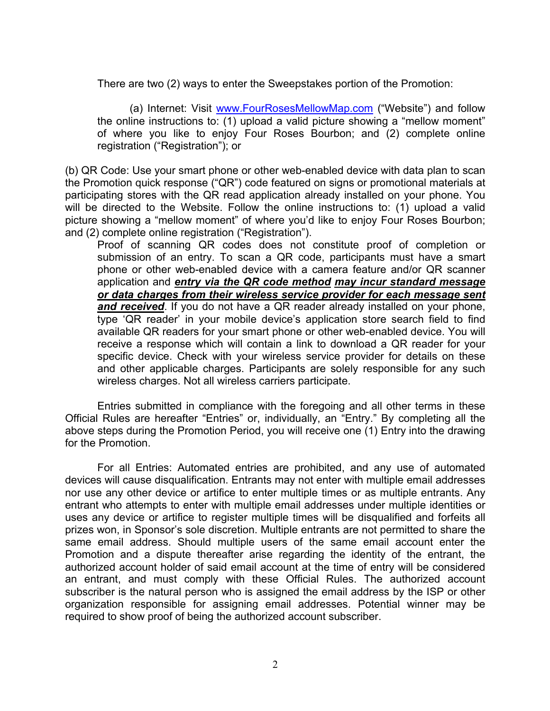There are two (2) ways to enter the Sweepstakes portion of the Promotion:

(a) Internet: Visit www.FourRosesMellowMap.com ("Website") and follow the online instructions to: (1) upload a valid picture showing a "mellow moment" of where you like to enjoy Four Roses Bourbon; and (2) complete online registration ("Registration"); or

(b) QR Code: Use your smart phone or other web-enabled device with data plan to scan the Promotion quick response ("QR") code featured on signs or promotional materials at participating stores with the QR read application already installed on your phone. You will be directed to the Website. Follow the online instructions to: (1) upload a valid picture showing a "mellow moment" of where you'd like to enjoy Four Roses Bourbon; and (2) complete online registration ("Registration").

Proof of scanning QR codes does not constitute proof of completion or submission of an entry. To scan a QR code, participants must have a smart phone or other web-enabled device with a camera feature and/or QR scanner application and *entry via the QR code method may incur standard message or data charges from their wireless service provider for each message sent and received*. If you do not have a QR reader already installed on your phone, type 'QR reader' in your mobile device's application store search field to find available QR readers for your smart phone or other web-enabled device. You will receive a response which will contain a link to download a QR reader for your specific device. Check with your wireless service provider for details on these and other applicable charges. Participants are solely responsible for any such wireless charges. Not all wireless carriers participate.

Entries submitted in compliance with the foregoing and all other terms in these Official Rules are hereafter "Entries" or, individually, an "Entry." By completing all the above steps during the Promotion Period, you will receive one (1) Entry into the drawing for the Promotion.

For all Entries: Automated entries are prohibited, and any use of automated devices will cause disqualification. Entrants may not enter with multiple email addresses nor use any other device or artifice to enter multiple times or as multiple entrants. Any entrant who attempts to enter with multiple email addresses under multiple identities or uses any device or artifice to register multiple times will be disqualified and forfeits all prizes won, in Sponsor's sole discretion. Multiple entrants are not permitted to share the same email address. Should multiple users of the same email account enter the Promotion and a dispute thereafter arise regarding the identity of the entrant, the authorized account holder of said email account at the time of entry will be considered an entrant, and must comply with these Official Rules. The authorized account subscriber is the natural person who is assigned the email address by the ISP or other organization responsible for assigning email addresses. Potential winner may be required to show proof of being the authorized account subscriber.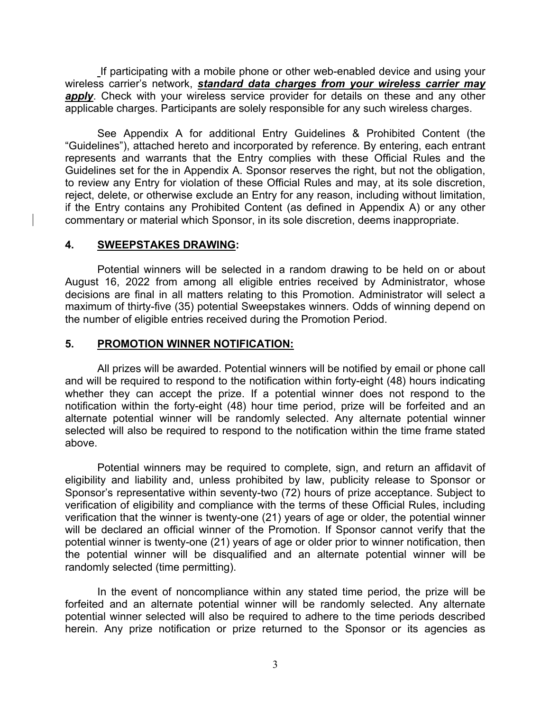If participating with a mobile phone or other web-enabled device and using your wireless carrier's network, *standard data charges from your wireless carrier may*  **apply**. Check with your wireless service provider for details on these and any other applicable charges. Participants are solely responsible for any such wireless charges.

See Appendix A for additional Entry Guidelines & Prohibited Content (the "Guidelines"), attached hereto and incorporated by reference. By entering, each entrant represents and warrants that the Entry complies with these Official Rules and the Guidelines set for the in Appendix A. Sponsor reserves the right, but not the obligation, to review any Entry for violation of these Official Rules and may, at its sole discretion, reject, delete, or otherwise exclude an Entry for any reason, including without limitation, if the Entry contains any Prohibited Content (as defined in Appendix A) or any other commentary or material which Sponsor, in its sole discretion, deems inappropriate.

#### **4. SWEEPSTAKES DRAWING:**

Potential winners will be selected in a random drawing to be held on or about August 16, 2022 from among all eligible entries received by Administrator, whose decisions are final in all matters relating to this Promotion. Administrator will select a maximum of thirty-five (35) potential Sweepstakes winners. Odds of winning depend on the number of eligible entries received during the Promotion Period.

#### **5. PROMOTION WINNER NOTIFICATION:**

All prizes will be awarded. Potential winners will be notified by email or phone call and will be required to respond to the notification within forty-eight (48) hours indicating whether they can accept the prize. If a potential winner does not respond to the notification within the forty-eight (48) hour time period, prize will be forfeited and an alternate potential winner will be randomly selected. Any alternate potential winner selected will also be required to respond to the notification within the time frame stated above.

Potential winners may be required to complete, sign, and return an affidavit of eligibility and liability and, unless prohibited by law, publicity release to Sponsor or Sponsor's representative within seventy-two (72) hours of prize acceptance. Subject to verification of eligibility and compliance with the terms of these Official Rules, including verification that the winner is twenty-one (21) years of age or older, the potential winner will be declared an official winner of the Promotion. If Sponsor cannot verify that the potential winner is twenty-one (21) years of age or older prior to winner notification, then the potential winner will be disqualified and an alternate potential winner will be randomly selected (time permitting).

In the event of noncompliance within any stated time period, the prize will be forfeited and an alternate potential winner will be randomly selected. Any alternate potential winner selected will also be required to adhere to the time periods described herein. Any prize notification or prize returned to the Sponsor or its agencies as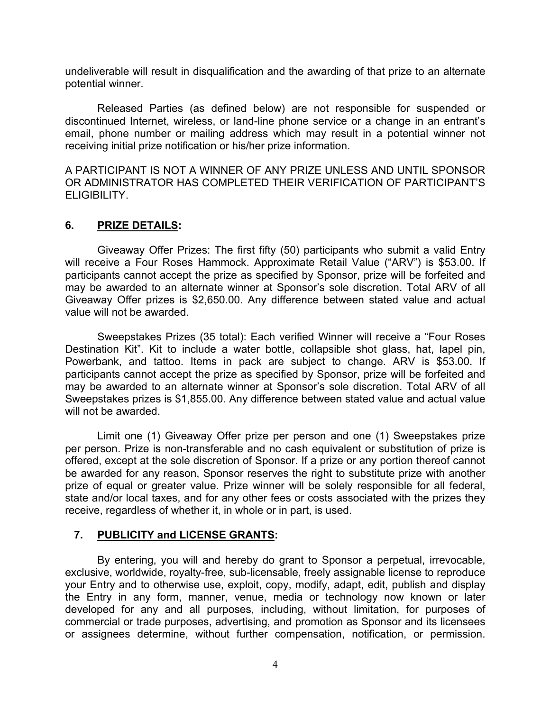undeliverable will result in disqualification and the awarding of that prize to an alternate potential winner.

Released Parties (as defined below) are not responsible for suspended or discontinued Internet, wireless, or land-line phone service or a change in an entrant's email, phone number or mailing address which may result in a potential winner not receiving initial prize notification or his/her prize information.

A PARTICIPANT IS NOT A WINNER OF ANY PRIZE UNLESS AND UNTIL SPONSOR OR ADMINISTRATOR HAS COMPLETED THEIR VERIFICATION OF PARTICIPANT'S ELIGIBILITY.

### **6. PRIZE DETAILS:**

Giveaway Offer Prizes: The first fifty (50) participants who submit a valid Entry will receive a Four Roses Hammock. Approximate Retail Value ("ARV") is \$53.00. If participants cannot accept the prize as specified by Sponsor, prize will be forfeited and may be awarded to an alternate winner at Sponsor's sole discretion. Total ARV of all Giveaway Offer prizes is \$2,650.00. Any difference between stated value and actual value will not be awarded.

Sweepstakes Prizes (35 total): Each verified Winner will receive a "Four Roses Destination Kit". Kit to include a water bottle, collapsible shot glass, hat, lapel pin, Powerbank, and tattoo. Items in pack are subject to change. ARV is \$53.00. If participants cannot accept the prize as specified by Sponsor, prize will be forfeited and may be awarded to an alternate winner at Sponsor's sole discretion. Total ARV of all Sweepstakes prizes is \$1,855.00. Any difference between stated value and actual value will not be awarded.

Limit one (1) Giveaway Offer prize per person and one (1) Sweepstakes prize per person. Prize is non-transferable and no cash equivalent or substitution of prize is offered, except at the sole discretion of Sponsor. If a prize or any portion thereof cannot be awarded for any reason, Sponsor reserves the right to substitute prize with another prize of equal or greater value. Prize winner will be solely responsible for all federal, state and/or local taxes, and for any other fees or costs associated with the prizes they receive, regardless of whether it, in whole or in part, is used.

### **7. PUBLICITY and LICENSE GRANTS:**

By entering, you will and hereby do grant to Sponsor a perpetual, irrevocable, exclusive, worldwide, royalty-free, sub-licensable, freely assignable license to reproduce your Entry and to otherwise use, exploit, copy, modify, adapt, edit, publish and display the Entry in any form, manner, venue, media or technology now known or later developed for any and all purposes, including, without limitation, for purposes of commercial or trade purposes, advertising, and promotion as Sponsor and its licensees or assignees determine, without further compensation, notification, or permission.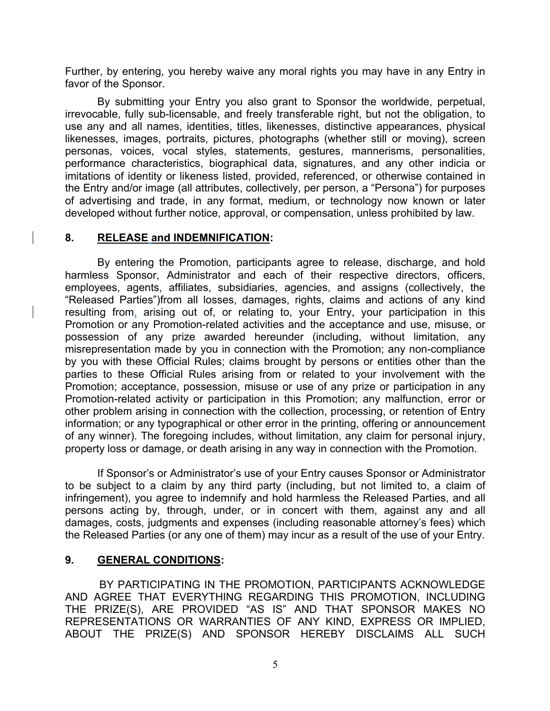Further, by entering, you hereby waive any moral rights you may have in any Entry in favor of the Sponsor.

By submitting your Entry you also grant to Sponsor the worldwide, perpetual, irrevocable, fully sub-licensable, and freely transferable right, but not the obligation, to use any and all names, identities, titles, likenesses, distinctive appearances, physical likenesses, images, portraits, pictures, photographs (whether still or moving), screen personas, voices, vocal styles, statements, gestures, mannerisms, personalities, performance characteristics, biographical data, signatures, and any other indicia or imitations of identity or likeness listed, provided, referenced, or otherwise contained in the Entry and/or image (all attributes, collectively, per person, a "Persona") for purposes of advertising and trade, in any format, medium, or technology now known or later developed without further notice, approval, or compensation, unless prohibited by law.

#### **8. RELEASE and INDEMNIFICATION:**

By entering the Promotion, participants agree to release, discharge, and hold harmless Sponsor, Administrator and each of their respective directors, officers, employees, agents, affiliates, subsidiaries, agencies, and assigns (collectively, the "Released Parties")from all losses, damages, rights, claims and actions of any kind resulting from, arising out of, or relating to, your Entry, your participation in this Promotion or any Promotion-related activities and the acceptance and use, misuse, or possession of any prize awarded hereunder (including, without limitation, any misrepresentation made by you in connection with the Promotion; any non-compliance by you with these Official Rules; claims brought by persons or entities other than the parties to these Official Rules arising from or related to your involvement with the Promotion; acceptance, possession, misuse or use of any prize or participation in any Promotion-related activity or participation in this Promotion; any malfunction, error or other problem arising in connection with the collection, processing, or retention of Entry information; or any typographical or other error in the printing, offering or announcement of any winner). The foregoing includes, without limitation, any claim for personal injury, property loss or damage, or death arising in any way in connection with the Promotion.

If Sponsor's or Administrator's use of your Entry causes Sponsor or Administrator to be subject to a claim by any third party (including, but not limited to, a claim of infringement), you agree to indemnify and hold harmless the Released Parties, and all persons acting by, through, under, or in concert with them, against any and all damages, costs, judgments and expenses (including reasonable attorney's fees) which the Released Parties (or any one of them) may incur as a result of the use of your Entry.

### **9. GENERAL CONDITIONS:**

BY PARTICIPATING IN THE PROMOTION, PARTICIPANTS ACKNOWLEDGE AND AGREE THAT EVERYTHING REGARDING THIS PROMOTION, INCLUDING THE PRIZE(S), ARE PROVIDED "AS IS" AND THAT SPONSOR MAKES NO REPRESENTATIONS OR WARRANTIES OF ANY KIND, EXPRESS OR IMPLIED, ABOUT THE PRIZE(S) AND SPONSOR HEREBY DISCLAIMS ALL SUCH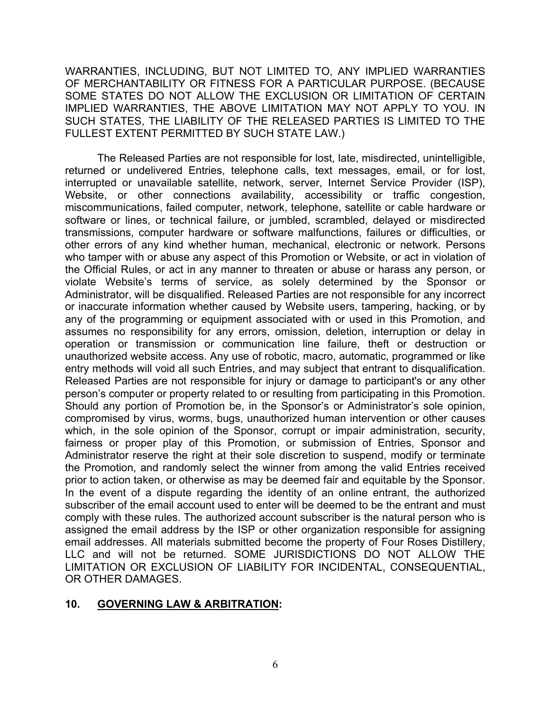WARRANTIES, INCLUDING, BUT NOT LIMITED TO, ANY IMPLIED WARRANTIES OF MERCHANTABILITY OR FITNESS FOR A PARTICULAR PURPOSE. (BECAUSE SOME STATES DO NOT ALLOW THE EXCLUSION OR LIMITATION OF CERTAIN IMPLIED WARRANTIES, THE ABOVE LIMITATION MAY NOT APPLY TO YOU. IN SUCH STATES, THE LIABILITY OF THE RELEASED PARTIES IS LIMITED TO THE FULLEST EXTENT PERMITTED BY SUCH STATE LAW.)

The Released Parties are not responsible for lost, late, misdirected, unintelligible, returned or undelivered Entries, telephone calls, text messages, email, or for lost, interrupted or unavailable satellite, network, server, Internet Service Provider (ISP), Website, or other connections availability, accessibility or traffic congestion, miscommunications, failed computer, network, telephone, satellite or cable hardware or software or lines, or technical failure, or jumbled, scrambled, delayed or misdirected transmissions, computer hardware or software malfunctions, failures or difficulties, or other errors of any kind whether human, mechanical, electronic or network. Persons who tamper with or abuse any aspect of this Promotion or Website, or act in violation of the Official Rules, or act in any manner to threaten or abuse or harass any person, or violate Website's terms of service, as solely determined by the Sponsor or Administrator, will be disqualified. Released Parties are not responsible for any incorrect or inaccurate information whether caused by Website users, tampering, hacking, or by any of the programming or equipment associated with or used in this Promotion, and assumes no responsibility for any errors, omission, deletion, interruption or delay in operation or transmission or communication line failure, theft or destruction or unauthorized website access. Any use of robotic, macro, automatic, programmed or like entry methods will void all such Entries, and may subject that entrant to disqualification. Released Parties are not responsible for injury or damage to participant's or any other person's computer or property related to or resulting from participating in this Promotion. Should any portion of Promotion be, in the Sponsor's or Administrator's sole opinion, compromised by virus, worms, bugs, unauthorized human intervention or other causes which, in the sole opinion of the Sponsor, corrupt or impair administration, security, fairness or proper play of this Promotion, or submission of Entries, Sponsor and Administrator reserve the right at their sole discretion to suspend, modify or terminate the Promotion, and randomly select the winner from among the valid Entries received prior to action taken, or otherwise as may be deemed fair and equitable by the Sponsor. In the event of a dispute regarding the identity of an online entrant, the authorized subscriber of the email account used to enter will be deemed to be the entrant and must comply with these rules. The authorized account subscriber is the natural person who is assigned the email address by the ISP or other organization responsible for assigning email addresses. All materials submitted become the property of Four Roses Distillery, LLC and will not be returned. SOME JURISDICTIONS DO NOT ALLOW THE LIMITATION OR EXCLUSION OF LIABILITY FOR INCIDENTAL, CONSEQUENTIAL, OR OTHER DAMAGES.

### **10. GOVERNING LAW & ARBITRATION:**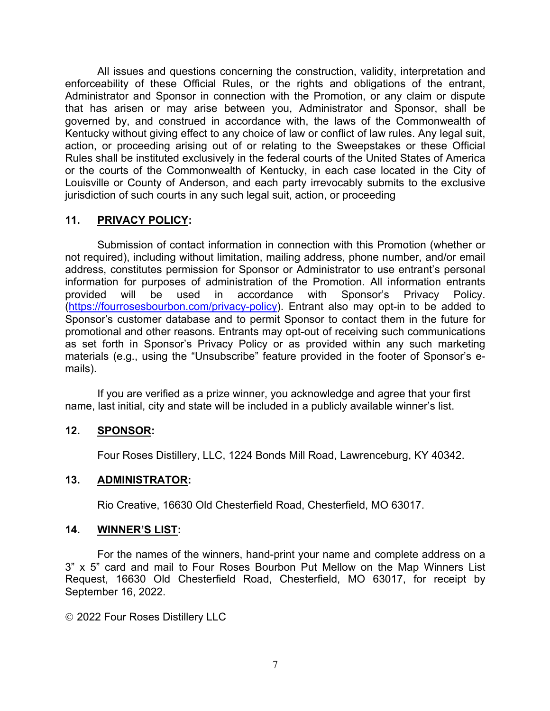All issues and questions concerning the construction, validity, interpretation and enforceability of these Official Rules, or the rights and obligations of the entrant, Administrator and Sponsor in connection with the Promotion, or any claim or dispute that has arisen or may arise between you, Administrator and Sponsor, shall be governed by, and construed in accordance with, the laws of the Commonwealth of Kentucky without giving effect to any choice of law or conflict of law rules. Any legal suit, action, or proceeding arising out of or relating to the Sweepstakes or these Official Rules shall be instituted exclusively in the federal courts of the United States of America or the courts of the Commonwealth of Kentucky, in each case located in the City of Louisville or County of Anderson, and each party irrevocably submits to the exclusive jurisdiction of such courts in any such legal suit, action, or proceeding

### **11. PRIVACY POLICY:**

Submission of contact information in connection with this Promotion (whether or not required), including without limitation, mailing address, phone number, and/or email address, constitutes permission for Sponsor or Administrator to use entrant's personal information for purposes of administration of the Promotion. All information entrants provided will be used in accordance with Sponsor's Privacy Policy. (https://fourrosesbourbon.com/privacy-policy). Entrant also may opt-in to be added to Sponsor's customer database and to permit Sponsor to contact them in the future for promotional and other reasons. Entrants may opt-out of receiving such communications as set forth in Sponsor's Privacy Policy or as provided within any such marketing materials (e.g., using the "Unsubscribe" feature provided in the footer of Sponsor's emails).

If you are verified as a prize winner, you acknowledge and agree that your first name, last initial, city and state will be included in a publicly available winner's list.

### **12. SPONSOR:**

Four Roses Distillery, LLC, 1224 Bonds Mill Road, Lawrenceburg, KY 40342.

## **13. ADMINISTRATOR:**

Rio Creative, 16630 Old Chesterfield Road, Chesterfield, MO 63017.

### **14. WINNER'S LIST:**

For the names of the winners, hand-print your name and complete address on a 3" x 5" card and mail to Four Roses Bourbon Put Mellow on the Map Winners List Request, 16630 Old Chesterfield Road, Chesterfield, MO 63017, for receipt by September 16, 2022.

© 2022 Four Roses Distillery LLC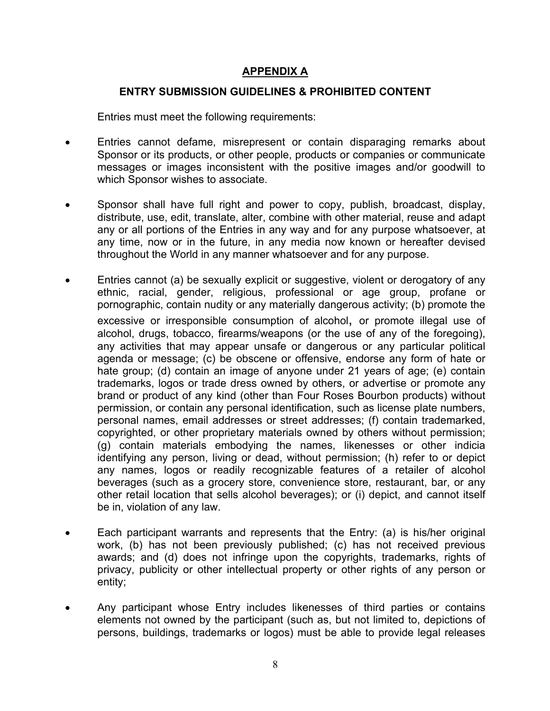# **APPENDIX A**

#### **ENTRY SUBMISSION GUIDELINES & PROHIBITED CONTENT**

Entries must meet the following requirements:

- Entries cannot defame, misrepresent or contain disparaging remarks about Sponsor or its products, or other people, products or companies or communicate messages or images inconsistent with the positive images and/or goodwill to which Sponsor wishes to associate.
- Sponsor shall have full right and power to copy, publish, broadcast, display, distribute, use, edit, translate, alter, combine with other material, reuse and adapt any or all portions of the Entries in any way and for any purpose whatsoever, at any time, now or in the future, in any media now known or hereafter devised throughout the World in any manner whatsoever and for any purpose.
- Entries cannot (a) be sexually explicit or suggestive, violent or derogatory of any ethnic, racial, gender, religious, professional or age group, profane or pornographic, contain nudity or any materially dangerous activity; (b) promote the excessive or irresponsible consumption of alcohol, or promote illegal use of alcohol, drugs, tobacco, firearms/weapons (or the use of any of the foregoing), any activities that may appear unsafe or dangerous or any particular political agenda or message; (c) be obscene or offensive, endorse any form of hate or hate group; (d) contain an image of anyone under 21 years of age; (e) contain trademarks, logos or trade dress owned by others, or advertise or promote any brand or product of any kind (other than Four Roses Bourbon products) without permission, or contain any personal identification, such as license plate numbers, personal names, email addresses or street addresses; (f) contain trademarked, copyrighted, or other proprietary materials owned by others without permission; (g) contain materials embodying the names, likenesses or other indicia identifying any person, living or dead, without permission; (h) refer to or depict any names, logos or readily recognizable features of a retailer of alcohol beverages (such as a grocery store, convenience store, restaurant, bar, or any other retail location that sells alcohol beverages); or (i) depict, and cannot itself be in, violation of any law.
- Each participant warrants and represents that the Entry: (a) is his/her original work, (b) has not been previously published; (c) has not received previous awards; and (d) does not infringe upon the copyrights, trademarks, rights of privacy, publicity or other intellectual property or other rights of any person or entity;
- Any participant whose Entry includes likenesses of third parties or contains elements not owned by the participant (such as, but not limited to, depictions of persons, buildings, trademarks or logos) must be able to provide legal releases